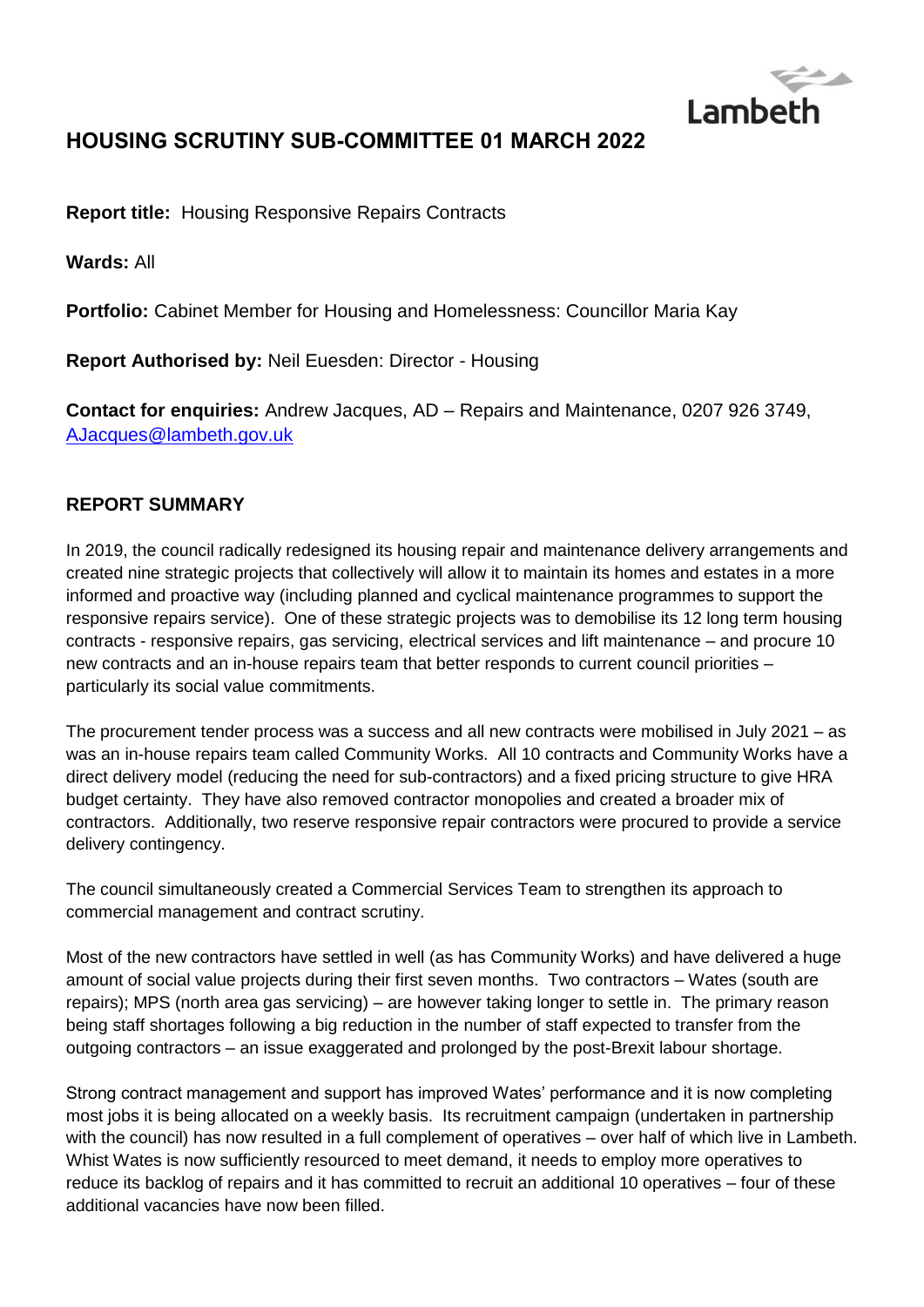

# **HOUSING SCRUTINY SUB-COMMITTEE 01 MARCH 2022**

**Report title:** Housing Responsive Repairs Contracts

**Wards:** All

**Portfolio:** Cabinet Member for Housing and Homelessness: Councillor Maria Kay

**Report Authorised by:** Neil Euesden: Director - Housing

**Contact for enquiries:** Andrew Jacques, AD – Repairs and Maintenance, 0207 926 3749, [AJacques@lambeth.gov.uk](mailto:AJacques@lambeth.gov.uk)

# **REPORT SUMMARY**

In 2019, the council radically redesigned its housing repair and maintenance delivery arrangements and created nine strategic projects that collectively will allow it to maintain its homes and estates in a more informed and proactive way (including planned and cyclical maintenance programmes to support the responsive repairs service). One of these strategic projects was to demobilise its 12 long term housing contracts - responsive repairs, gas servicing, electrical services and lift maintenance – and procure 10 new contracts and an in-house repairs team that better responds to current council priorities – particularly its social value commitments.

The procurement tender process was a success and all new contracts were mobilised in July 2021 – as was an in-house repairs team called Community Works. All 10 contracts and Community Works have a direct delivery model (reducing the need for sub-contractors) and a fixed pricing structure to give HRA budget certainty. They have also removed contractor monopolies and created a broader mix of contractors. Additionally, two reserve responsive repair contractors were procured to provide a service delivery contingency.

The council simultaneously created a Commercial Services Team to strengthen its approach to commercial management and contract scrutiny.

Most of the new contractors have settled in well (as has Community Works) and have delivered a huge amount of social value projects during their first seven months. Two contractors – Wates (south are repairs); MPS (north area gas servicing) – are however taking longer to settle in. The primary reason being staff shortages following a big reduction in the number of staff expected to transfer from the outgoing contractors – an issue exaggerated and prolonged by the post-Brexit labour shortage.

Strong contract management and support has improved Wates' performance and it is now completing most jobs it is being allocated on a weekly basis. Its recruitment campaign (undertaken in partnership with the council) has now resulted in a full complement of operatives – over half of which live in Lambeth. Whist Wates is now sufficiently resourced to meet demand, it needs to employ more operatives to reduce its backlog of repairs and it has committed to recruit an additional 10 operatives – four of these additional vacancies have now been filled.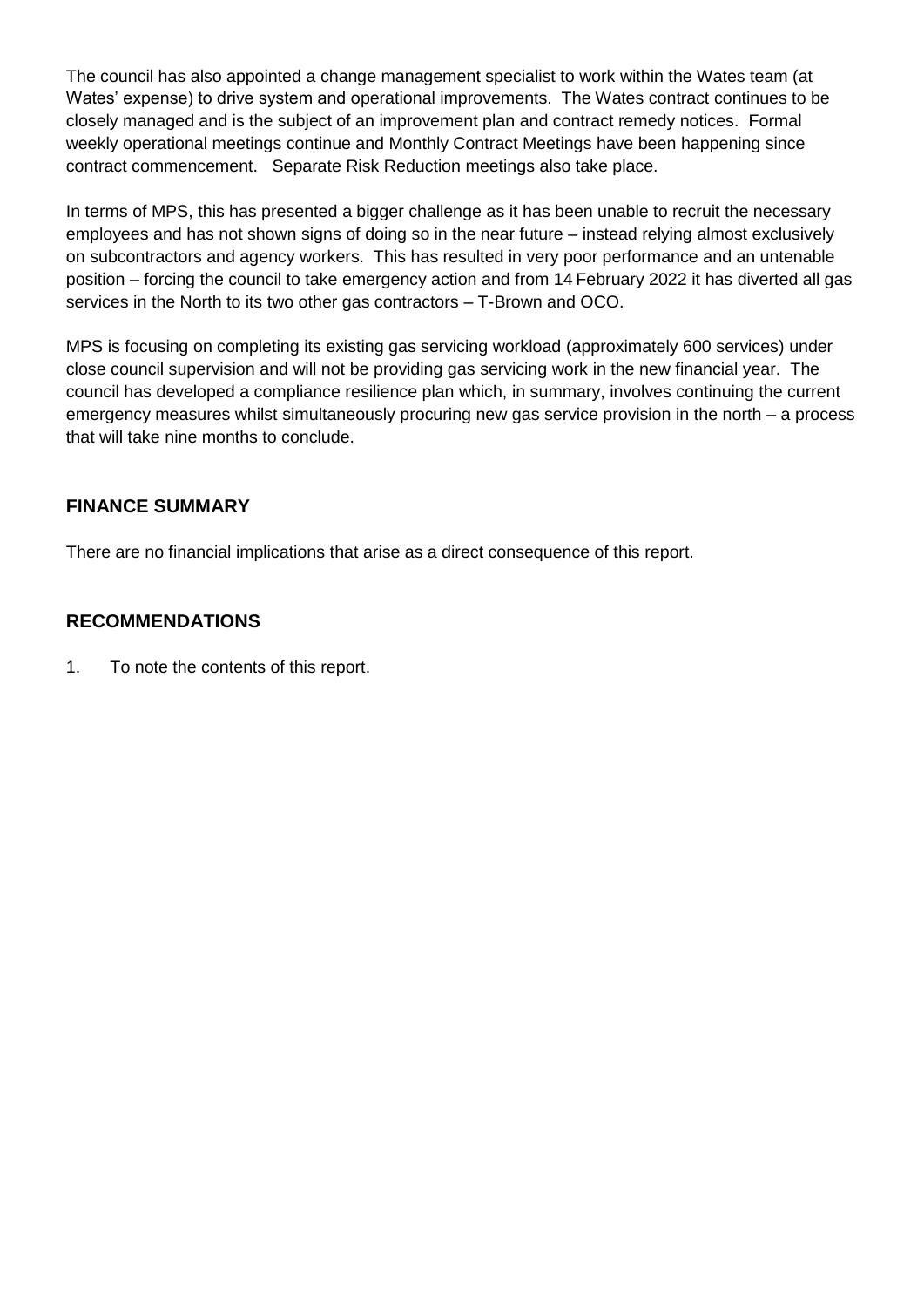The council has also appointed a change management specialist to work within the Wates team (at Wates' expense) to drive system and operational improvements. The Wates contract continues to be closely managed and is the subject of an improvement plan and contract remedy notices. Formal weekly operational meetings continue and Monthly Contract Meetings have been happening since contract commencement. Separate Risk Reduction meetings also take place.

In terms of MPS, this has presented a bigger challenge as it has been unable to recruit the necessary employees and has not shown signs of doing so in the near future – instead relying almost exclusively on subcontractors and agency workers. This has resulted in very poor performance and an untenable position – forcing the council to take emergency action and from 14 February 2022 it has diverted all gas services in the North to its two other gas contractors – T-Brown and OCO.

MPS is focusing on completing its existing gas servicing workload (approximately 600 services) under close council supervision and will not be providing gas servicing work in the new financial year. The council has developed a compliance resilience plan which, in summary, involves continuing the current emergency measures whilst simultaneously procuring new gas service provision in the north – a process that will take nine months to conclude.

# **FINANCE SUMMARY**

There are no financial implications that arise as a direct consequence of this report.

# **RECOMMENDATIONS**

1. To note the contents of this report.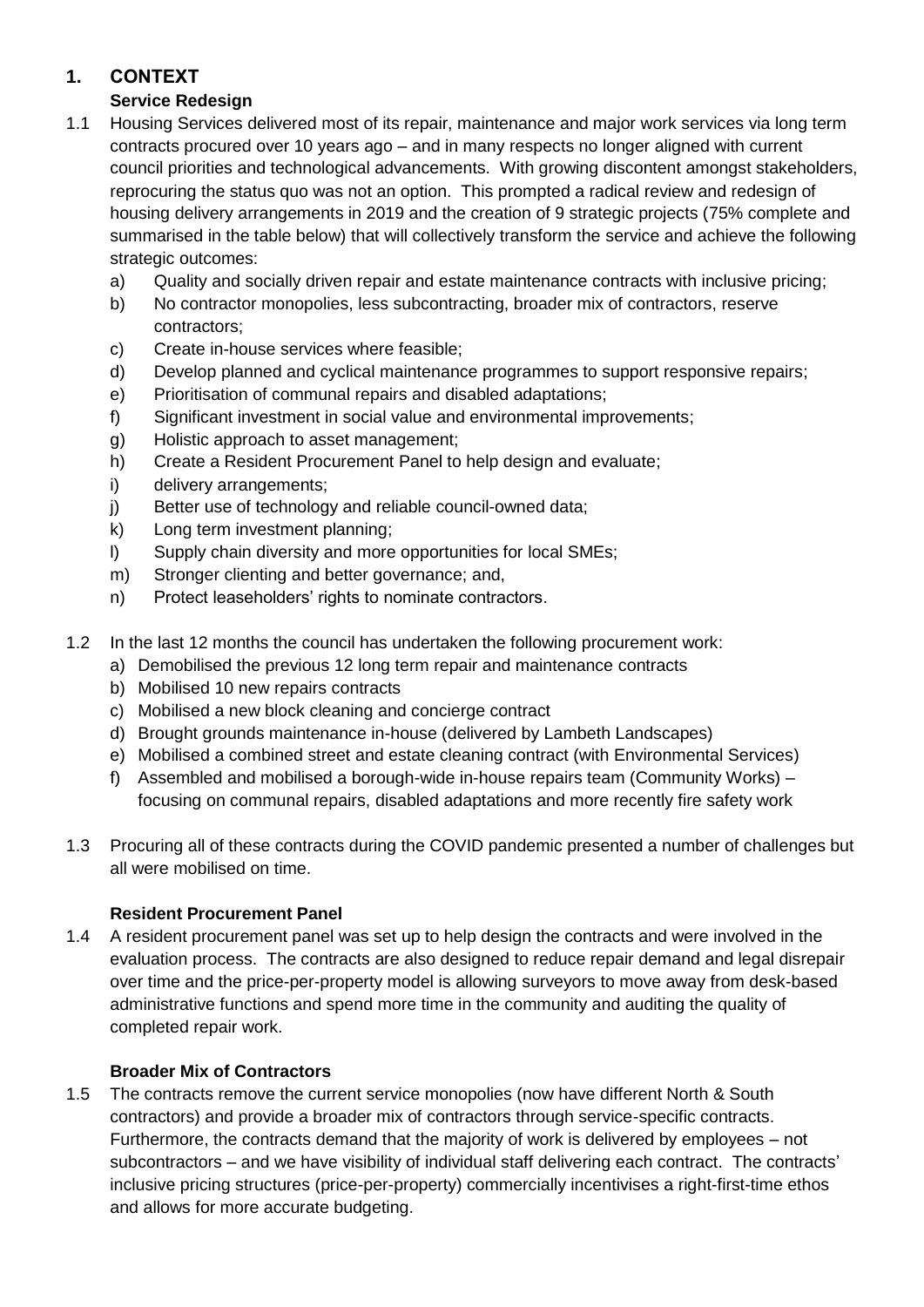# **1. CONTEXT**

# **Service Redesign**

- 1.1 Housing Services delivered most of its repair, maintenance and major work services via long term contracts procured over 10 years ago – and in many respects no longer aligned with current council priorities and technological advancements. With growing discontent amongst stakeholders, reprocuring the status quo was not an option. This prompted a radical review and redesign of housing delivery arrangements in 2019 and the creation of 9 strategic projects (75% complete and summarised in the table below) that will collectively transform the service and achieve the following strategic outcomes:
	- a) Quality and socially driven repair and estate maintenance contracts with inclusive pricing;
	- b) No contractor monopolies, less subcontracting, broader mix of contractors, reserve contractors;
	- c) Create in-house services where feasible;
	- d) Develop planned and cyclical maintenance programmes to support responsive repairs;
	- e) Prioritisation of communal repairs and disabled adaptations;
	- f) Significant investment in social value and environmental improvements;
	- g) Holistic approach to asset management;
	- h) Create a Resident Procurement Panel to help design and evaluate;
	- i) delivery arrangements;
	- j) Better use of technology and reliable council-owned data;
	- k) Long term investment planning;
	- l) Supply chain diversity and more opportunities for local SMEs;
	- m) Stronger clienting and better governance; and,
	- n) Protect leaseholders' rights to nominate contractors.
- 1.2 In the last 12 months the council has undertaken the following procurement work:
	- a) Demobilised the previous 12 long term repair and maintenance contracts
	- b) Mobilised 10 new repairs contracts
	- c) Mobilised a new block cleaning and concierge contract
	- d) Brought grounds maintenance in-house (delivered by Lambeth Landscapes)
	- e) Mobilised a combined street and estate cleaning contract (with Environmental Services)
	- f) Assembled and mobilised a borough-wide in-house repairs team (Community Works) focusing on communal repairs, disabled adaptations and more recently fire safety work
- 1.3 Procuring all of these contracts during the COVID pandemic presented a number of challenges but all were mobilised on time.

# **Resident Procurement Panel**

1.4 A resident procurement panel was set up to help design the contracts and were involved in the evaluation process. The contracts are also designed to reduce repair demand and legal disrepair over time and the price-per-property model is allowing surveyors to move away from desk-based administrative functions and spend more time in the community and auditing the quality of completed repair work.

# **Broader Mix of Contractors**

1.5 The contracts remove the current service monopolies (now have different North & South contractors) and provide a broader mix of contractors through service-specific contracts. Furthermore, the contracts demand that the majority of work is delivered by employees – not subcontractors – and we have visibility of individual staff delivering each contract. The contracts' inclusive pricing structures (price-per-property) commercially incentivises a right-first-time ethos and allows for more accurate budgeting.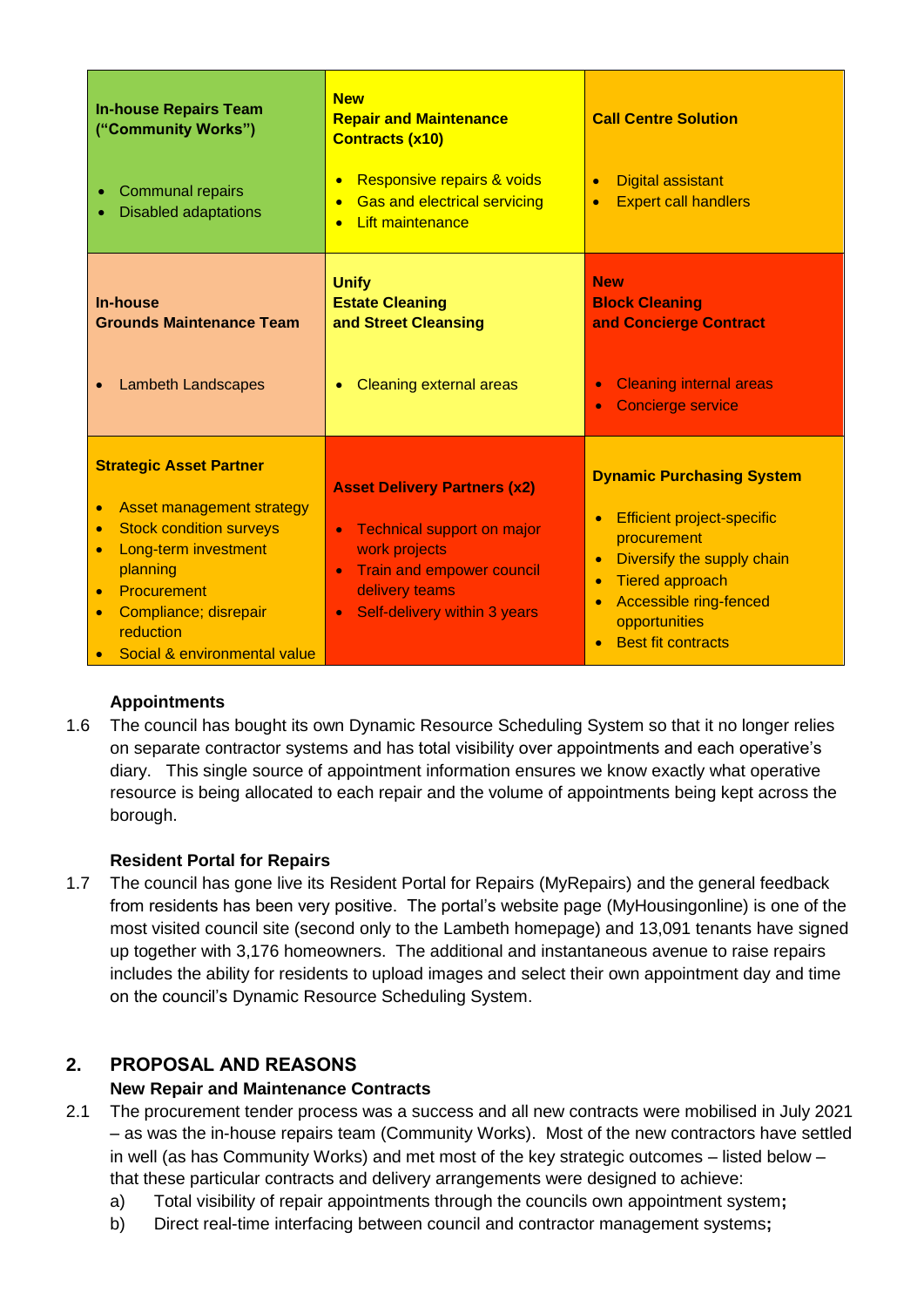| <b>In-house Repairs Team</b><br>("Community Works")<br><b>Communal repairs</b><br>۰<br><b>Disabled adaptations</b>                                                                                                                                                                      | <b>New</b><br><b>Repair and Maintenance</b><br><b>Contracts (x10)</b><br>Responsive repairs & voids<br><b>Gas and electrical servicing</b><br>$\bullet$<br><b>Lift maintenance</b>                              | <b>Call Centre Solution</b><br><b>Digital assistant</b><br><b>Expert call handlers</b><br>$\bullet$                                                                                                                                                         |
|-----------------------------------------------------------------------------------------------------------------------------------------------------------------------------------------------------------------------------------------------------------------------------------------|-----------------------------------------------------------------------------------------------------------------------------------------------------------------------------------------------------------------|-------------------------------------------------------------------------------------------------------------------------------------------------------------------------------------------------------------------------------------------------------------|
| <b>In-house</b><br><b>Grounds Maintenance Team</b><br><b>Lambeth Landscapes</b>                                                                                                                                                                                                         | <b>Unify</b><br><b>Estate Cleaning</b><br>and Street Cleansing<br><b>Cleaning external areas</b>                                                                                                                | <b>New</b><br><b>Block Cleaning</b><br>and Concierge Contract<br><b>Cleaning internal areas</b><br>$\bullet$<br><b>Concierge service</b><br>۰                                                                                                               |
| <b>Strategic Asset Partner</b><br>Asset management strategy<br>$\bullet$<br><b>Stock condition surveys</b><br>$\bullet$<br>Long-term investment<br>$\bullet$<br>planning<br>Procurement<br>$\bullet$<br>Compliance; disrepair<br>$\bullet$<br>reduction<br>Social & environmental value | <b>Asset Delivery Partners (x2)</b><br><b>Technical support on major</b><br>$\bullet$<br>work projects<br>Train and empower council<br>$\bullet$<br>delivery teams<br>Self-delivery within 3 years<br>$\bullet$ | <b>Dynamic Purchasing System</b><br><b>Efficient project-specific</b><br>$\bullet$<br>procurement<br>Diversify the supply chain<br>$\bullet$<br><b>Tiered approach</b><br>$\bullet$<br>Accessible ring-fenced<br>opportunities<br><b>Best fit contracts</b> |

# **Appointments**

1.6 The council has bought its own Dynamic Resource Scheduling System so that it no longer relies on separate contractor systems and has total visibility over appointments and each operative's diary. This single source of appointment information ensures we know exactly what operative resource is being allocated to each repair and the volume of appointments being kept across the borough.

# **Resident Portal for Repairs**

1.7 The council has gone live its Resident Portal for Repairs (MyRepairs) and the general feedback from residents has been very positive. The portal's website page (MyHousingonline) is one of the most visited council site (second only to the Lambeth homepage) and 13,091 tenants have signed up together with 3,176 homeowners. The additional and instantaneous avenue to raise repairs includes the ability for residents to upload images and select their own appointment day and time on the council's Dynamic Resource Scheduling System.

# **2. PROPOSAL AND REASONS**

# **New Repair and Maintenance Contracts**

- 2.1 The procurement tender process was a success and all new contracts were mobilised in July 2021 – as was the in-house repairs team (Community Works). Most of the new contractors have settled in well (as has Community Works) and met most of the key strategic outcomes – listed below – that these particular contracts and delivery arrangements were designed to achieve:
	- a) Total visibility of repair appointments through the councils own appointment system**;**
	- b) Direct real-time interfacing between council and contractor management systems**;**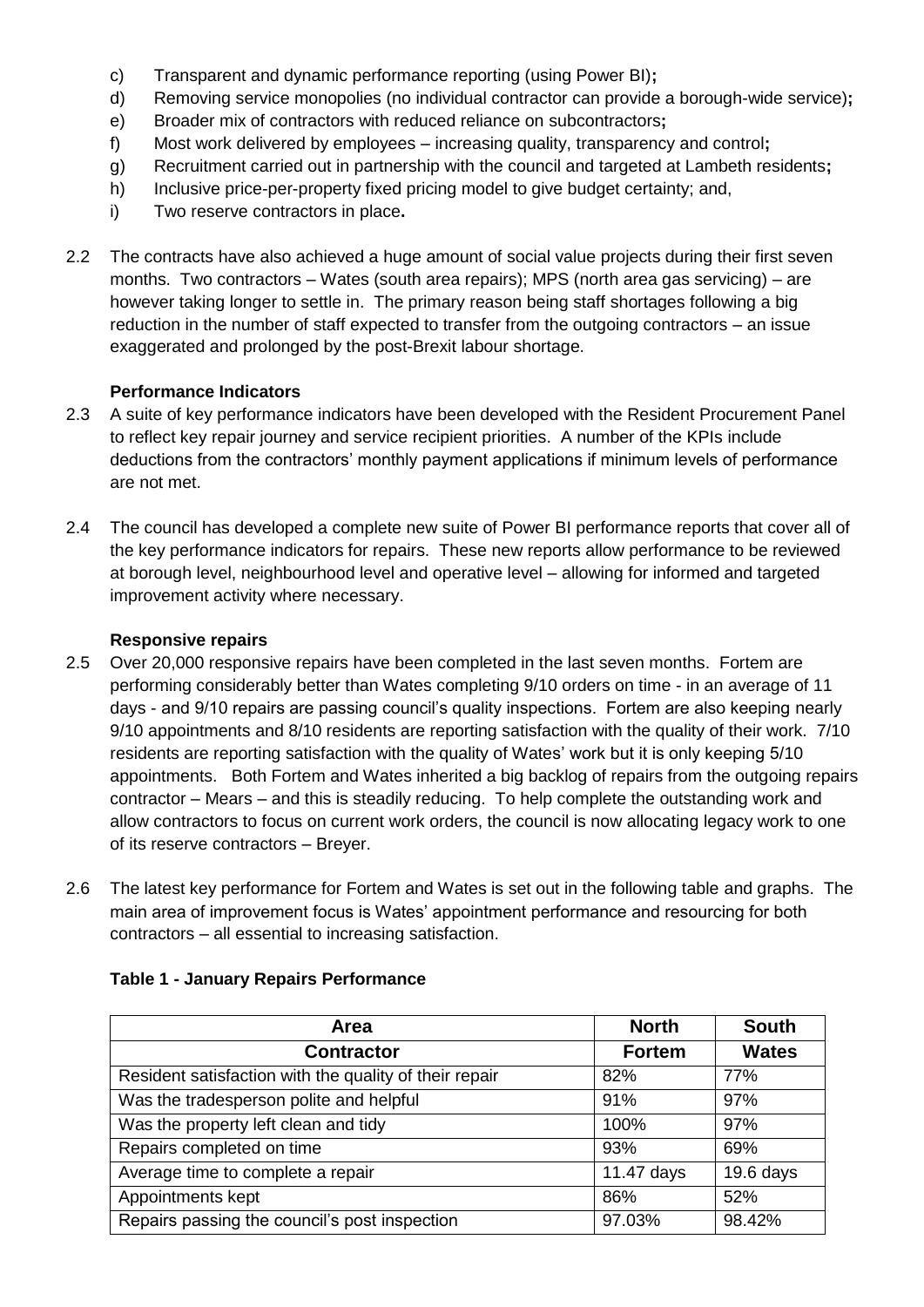- c) Transparent and dynamic performance reporting (using Power BI)**;**
- d) Removing service monopolies (no individual contractor can provide a borough-wide service)**;**
- e) Broader mix of contractors with reduced reliance on subcontractors**;**
- f) Most work delivered by employees increasing quality, transparency and control**;**
- g) Recruitment carried out in partnership with the council and targeted at Lambeth residents**;**
- h) Inclusive price-per-property fixed pricing model to give budget certainty; and,
- i) Two reserve contractors in place**.**
- 2.2 The contracts have also achieved a huge amount of social value projects during their first seven months. Two contractors – Wates (south area repairs); MPS (north area gas servicing) – are however taking longer to settle in. The primary reason being staff shortages following a big reduction in the number of staff expected to transfer from the outgoing contractors – an issue exaggerated and prolonged by the post-Brexit labour shortage.

# **Performance Indicators**

- 2.3 A suite of key performance indicators have been developed with the Resident Procurement Panel to reflect key repair journey and service recipient priorities. A number of the KPIs include deductions from the contractors' monthly payment applications if minimum levels of performance are not met.
- 2.4 The council has developed a complete new suite of Power BI performance reports that cover all of the key performance indicators for repairs. These new reports allow performance to be reviewed at borough level, neighbourhood level and operative level – allowing for informed and targeted improvement activity where necessary.

# **Responsive repairs**

- 2.5 Over 20,000 responsive repairs have been completed in the last seven months. Fortem are performing considerably better than Wates completing 9/10 orders on time - in an average of 11 days - and 9/10 repairs are passing council's quality inspections. Fortem are also keeping nearly 9/10 appointments and 8/10 residents are reporting satisfaction with the quality of their work. 7/10 residents are reporting satisfaction with the quality of Wates' work but it is only keeping 5/10 appointments. Both Fortem and Wates inherited a big backlog of repairs from the outgoing repairs contractor – Mears – and this is steadily reducing. To help complete the outstanding work and allow contractors to focus on current work orders, the council is now allocating legacy work to one of its reserve contractors – Breyer.
- 2.6 The latest key performance for Fortem and Wates is set out in the following table and graphs. The main area of improvement focus is Wates' appointment performance and resourcing for both contractors – all essential to increasing satisfaction.

| Area                                                   | <b>North</b>  | <b>South</b> |
|--------------------------------------------------------|---------------|--------------|
| <b>Contractor</b>                                      | <b>Fortem</b> | <b>Wates</b> |
| Resident satisfaction with the quality of their repair | 82%           | 77%          |
| Was the tradesperson polite and helpful                | 91%           | 97%          |
| Was the property left clean and tidy                   | 100%          | 97%          |
| Repairs completed on time                              | 93%           | 69%          |
| Average time to complete a repair                      | 11.47 days    | $19.6$ days  |
| Appointments kept                                      | 86%           | 52%          |
| Repairs passing the council's post inspection          | 97.03%        | 98.42%       |

# **Table 1 - January Repairs Performance**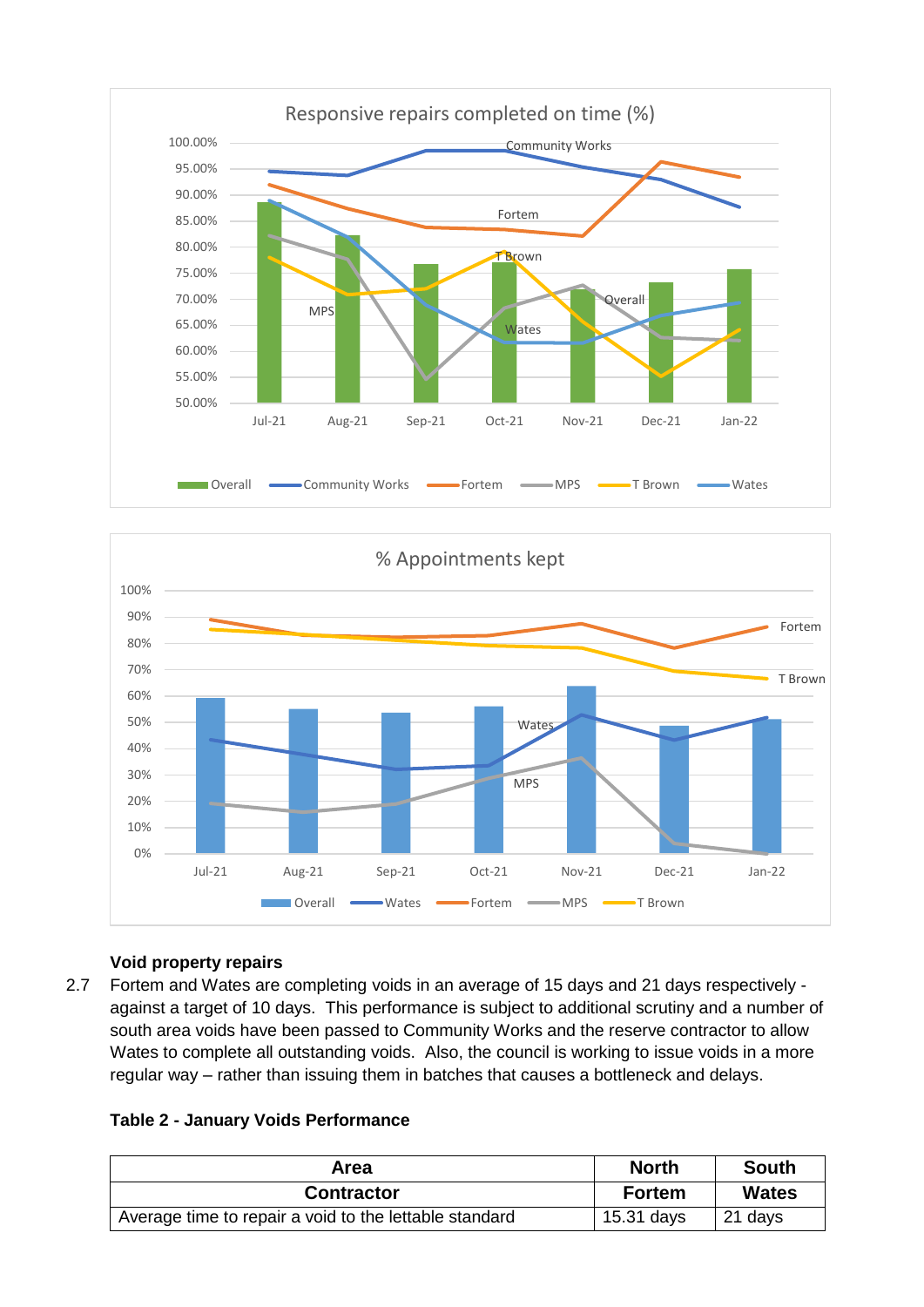



# **Void property repairs**

2.7 Fortem and Wates are completing voids in an average of 15 days and 21 days respectively against a target of 10 days. This performance is subject to additional scrutiny and a number of south area voids have been passed to Community Works and the reserve contractor to allow Wates to complete all outstanding voids. Also, the council is working to issue voids in a more regular way – rather than issuing them in batches that causes a bottleneck and delays.

# **Table 2 - January Voids Performance**

| Area                                                   | <b>North</b>  | <b>South</b> |
|--------------------------------------------------------|---------------|--------------|
| <b>Contractor</b>                                      | <b>Fortem</b> | <b>Wates</b> |
| Average time to repair a void to the lettable standard | 15.31 days    | 21 days      |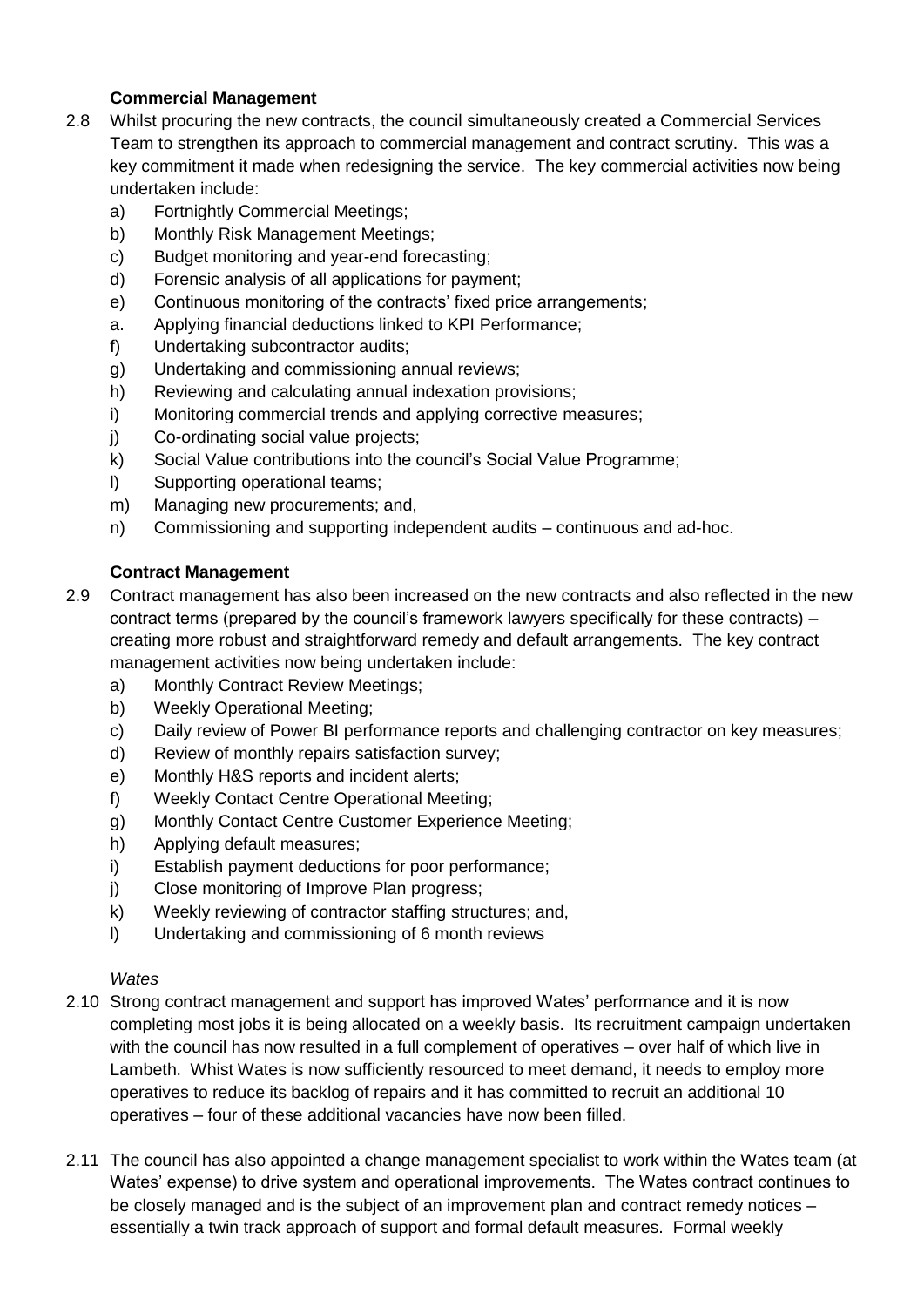# **Commercial Management**

- 2.8 Whilst procuring the new contracts, the council simultaneously created a Commercial Services Team to strengthen its approach to commercial management and contract scrutiny. This was a key commitment it made when redesigning the service. The key commercial activities now being undertaken include:
	- a) Fortnightly Commercial Meetings;
	- b) Monthly Risk Management Meetings;
	- c) Budget monitoring and year-end forecasting;
	- d) Forensic analysis of all applications for payment;
	- e) Continuous monitoring of the contracts' fixed price arrangements;
	- a. Applying financial deductions linked to KPI Performance;
	- f) Undertaking subcontractor audits;
	- g) Undertaking and commissioning annual reviews;
	- h) Reviewing and calculating annual indexation provisions;
	- i) Monitoring commercial trends and applying corrective measures;
	- j) Co-ordinating social value projects;
	- k) Social Value contributions into the council's Social Value Programme;
	- l) Supporting operational teams;
	- m) Managing new procurements; and,
	- n) Commissioning and supporting independent audits continuous and ad-hoc.

# **Contract Management**

- 2.9 Contract management has also been increased on the new contracts and also reflected in the new contract terms (prepared by the council's framework lawyers specifically for these contracts) – creating more robust and straightforward remedy and default arrangements. The key contract management activities now being undertaken include:
	- a) Monthly Contract Review Meetings;
	- b) Weekly Operational Meeting;
	- c) Daily review of Power BI performance reports and challenging contractor on key measures;
	- d) Review of monthly repairs satisfaction survey;
	- e) Monthly H&S reports and incident alerts;
	- f) Weekly Contact Centre Operational Meeting;
	- g) Monthly Contact Centre Customer Experience Meeting;
	- h) Applying default measures;
	- i) Establish payment deductions for poor performance;
	- j) Close monitoring of Improve Plan progress;
	- k) Weekly reviewing of contractor staffing structures; and,
	- l) Undertaking and commissioning of 6 month reviews

# *Wates*

- 2.10 Strong contract management and support has improved Wates' performance and it is now completing most jobs it is being allocated on a weekly basis. Its recruitment campaign undertaken with the council has now resulted in a full complement of operatives – over half of which live in Lambeth. Whist Wates is now sufficiently resourced to meet demand, it needs to employ more operatives to reduce its backlog of repairs and it has committed to recruit an additional 10 operatives – four of these additional vacancies have now been filled.
- 2.11 The council has also appointed a change management specialist to work within the Wates team (at Wates' expense) to drive system and operational improvements. The Wates contract continues to be closely managed and is the subject of an improvement plan and contract remedy notices – essentially a twin track approach of support and formal default measures. Formal weekly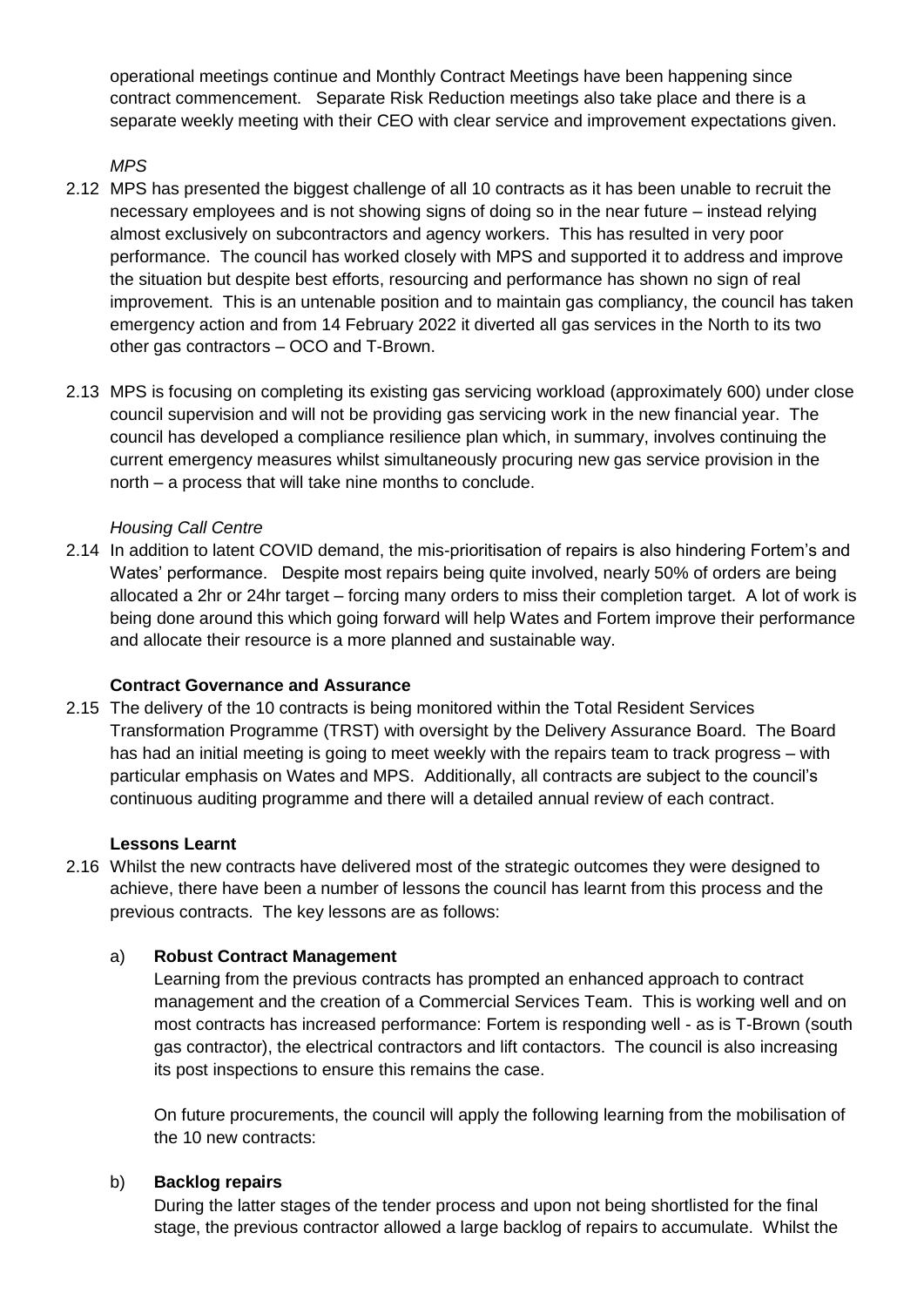operational meetings continue and Monthly Contract Meetings have been happening since contract commencement. Separate Risk Reduction meetings also take place and there is a separate weekly meeting with their CEO with clear service and improvement expectations given.

*MPS*

- 2.12 MPS has presented the biggest challenge of all 10 contracts as it has been unable to recruit the necessary employees and is not showing signs of doing so in the near future – instead relying almost exclusively on subcontractors and agency workers. This has resulted in very poor performance. The council has worked closely with MPS and supported it to address and improve the situation but despite best efforts, resourcing and performance has shown no sign of real improvement. This is an untenable position and to maintain gas compliancy, the council has taken emergency action and from 14 February 2022 it diverted all gas services in the North to its two other gas contractors – OCO and T-Brown.
- 2.13 MPS is focusing on completing its existing gas servicing workload (approximately 600) under close council supervision and will not be providing gas servicing work in the new financial year. The council has developed a compliance resilience plan which, in summary, involves continuing the current emergency measures whilst simultaneously procuring new gas service provision in the north – a process that will take nine months to conclude.

# *Housing Call Centre*

2.14 In addition to latent COVID demand, the mis-prioritisation of repairs is also hindering Fortem's and Wates' performance. Despite most repairs being quite involved, nearly 50% of orders are being allocated a 2hr or 24hr target – forcing many orders to miss their completion target. A lot of work is being done around this which going forward will help Wates and Fortem improve their performance and allocate their resource is a more planned and sustainable way.

#### **Contract Governance and Assurance**

2.15 The delivery of the 10 contracts is being monitored within the Total Resident Services Transformation Programme (TRST) with oversight by the Delivery Assurance Board. The Board has had an initial meeting is going to meet weekly with the repairs team to track progress – with particular emphasis on Wates and MPS. Additionally, all contracts are subject to the council's continuous auditing programme and there will a detailed annual review of each contract.

# **Lessons Learnt**

2.16 Whilst the new contracts have delivered most of the strategic outcomes they were designed to achieve, there have been a number of lessons the council has learnt from this process and the previous contracts. The key lessons are as follows:

# a) **Robust Contract Management**

Learning from the previous contracts has prompted an enhanced approach to contract management and the creation of a Commercial Services Team. This is working well and on most contracts has increased performance: Fortem is responding well - as is T-Brown (south gas contractor), the electrical contractors and lift contactors. The council is also increasing its post inspections to ensure this remains the case.

On future procurements, the council will apply the following learning from the mobilisation of the 10 new contracts:

#### b) **Backlog repairs**

During the latter stages of the tender process and upon not being shortlisted for the final stage, the previous contractor allowed a large backlog of repairs to accumulate. Whilst the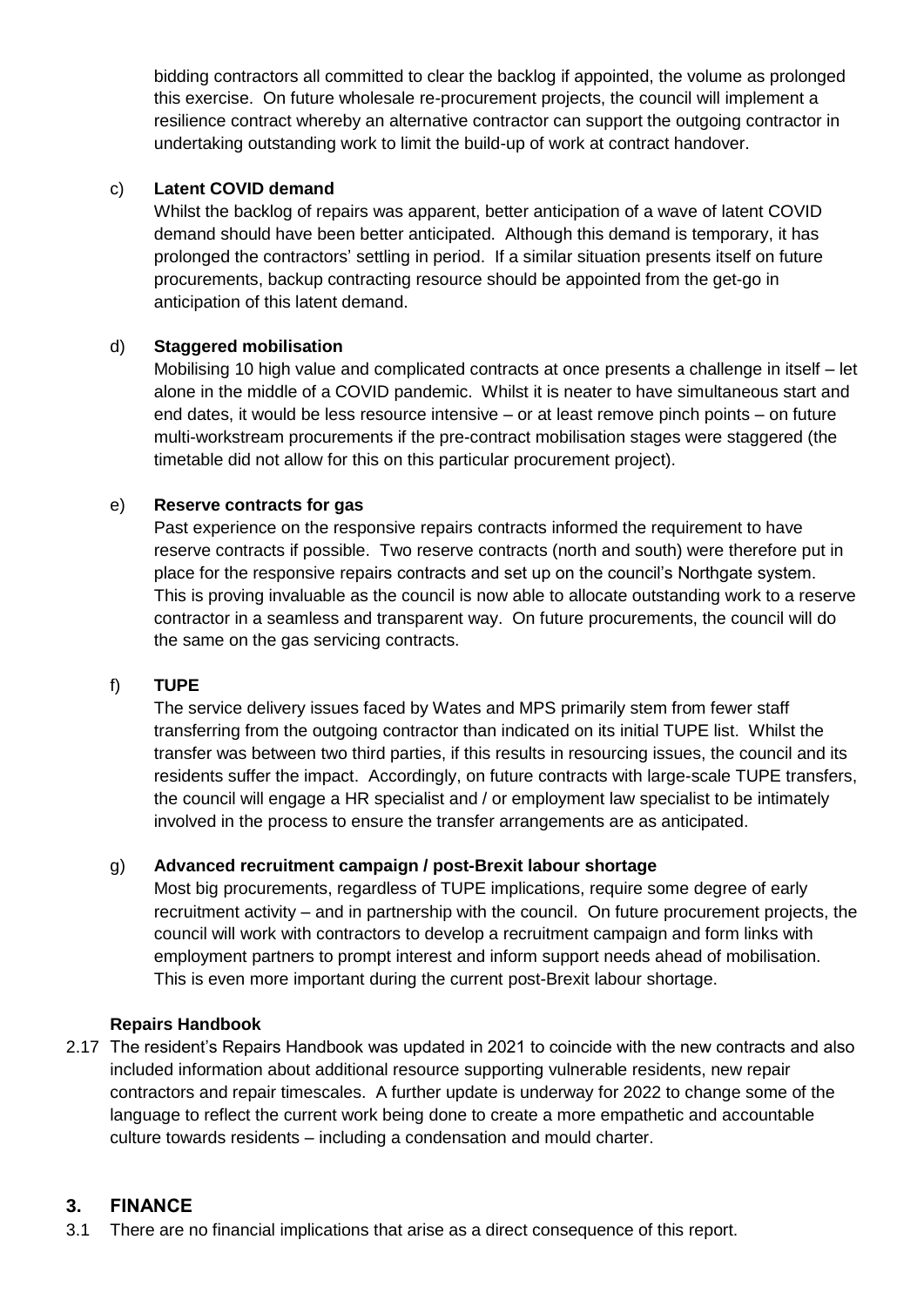bidding contractors all committed to clear the backlog if appointed, the volume as prolonged this exercise. On future wholesale re-procurement projects, the council will implement a resilience contract whereby an alternative contractor can support the outgoing contractor in undertaking outstanding work to limit the build-up of work at contract handover.

### c) **Latent COVID demand**

Whilst the backlog of repairs was apparent, better anticipation of a wave of latent COVID demand should have been better anticipated. Although this demand is temporary, it has prolonged the contractors' settling in period. If a similar situation presents itself on future procurements, backup contracting resource should be appointed from the get-go in anticipation of this latent demand.

#### d) **Staggered mobilisation**

Mobilising 10 high value and complicated contracts at once presents a challenge in itself – let alone in the middle of a COVID pandemic. Whilst it is neater to have simultaneous start and end dates, it would be less resource intensive – or at least remove pinch points – on future multi-workstream procurements if the pre-contract mobilisation stages were staggered (the timetable did not allow for this on this particular procurement project).

#### e) **Reserve contracts for gas**

Past experience on the responsive repairs contracts informed the requirement to have reserve contracts if possible. Two reserve contracts (north and south) were therefore put in place for the responsive repairs contracts and set up on the council's Northgate system. This is proving invaluable as the council is now able to allocate outstanding work to a reserve contractor in a seamless and transparent way. On future procurements, the council will do the same on the gas servicing contracts.

#### f) **TUPE**

The service delivery issues faced by Wates and MPS primarily stem from fewer staff transferring from the outgoing contractor than indicated on its initial TUPE list. Whilst the transfer was between two third parties, if this results in resourcing issues, the council and its residents suffer the impact. Accordingly, on future contracts with large-scale TUPE transfers, the council will engage a HR specialist and / or employment law specialist to be intimately involved in the process to ensure the transfer arrangements are as anticipated.

# g) **Advanced recruitment campaign / post-Brexit labour shortage**

Most big procurements, regardless of TUPE implications, require some degree of early recruitment activity – and in partnership with the council. On future procurement projects, the council will work with contractors to develop a recruitment campaign and form links with employment partners to prompt interest and inform support needs ahead of mobilisation. This is even more important during the current post-Brexit labour shortage.

#### **Repairs Handbook**

2.17 The resident's Repairs Handbook was updated in 2021 to coincide with the new contracts and also included information about additional resource supporting vulnerable residents, new repair contractors and repair timescales. A further update is underway for 2022 to change some of the language to reflect the current work being done to create a more empathetic and accountable culture towards residents – including a condensation and mould charter.

# **3. FINANCE**

3.1 There are no financial implications that arise as a direct consequence of this report.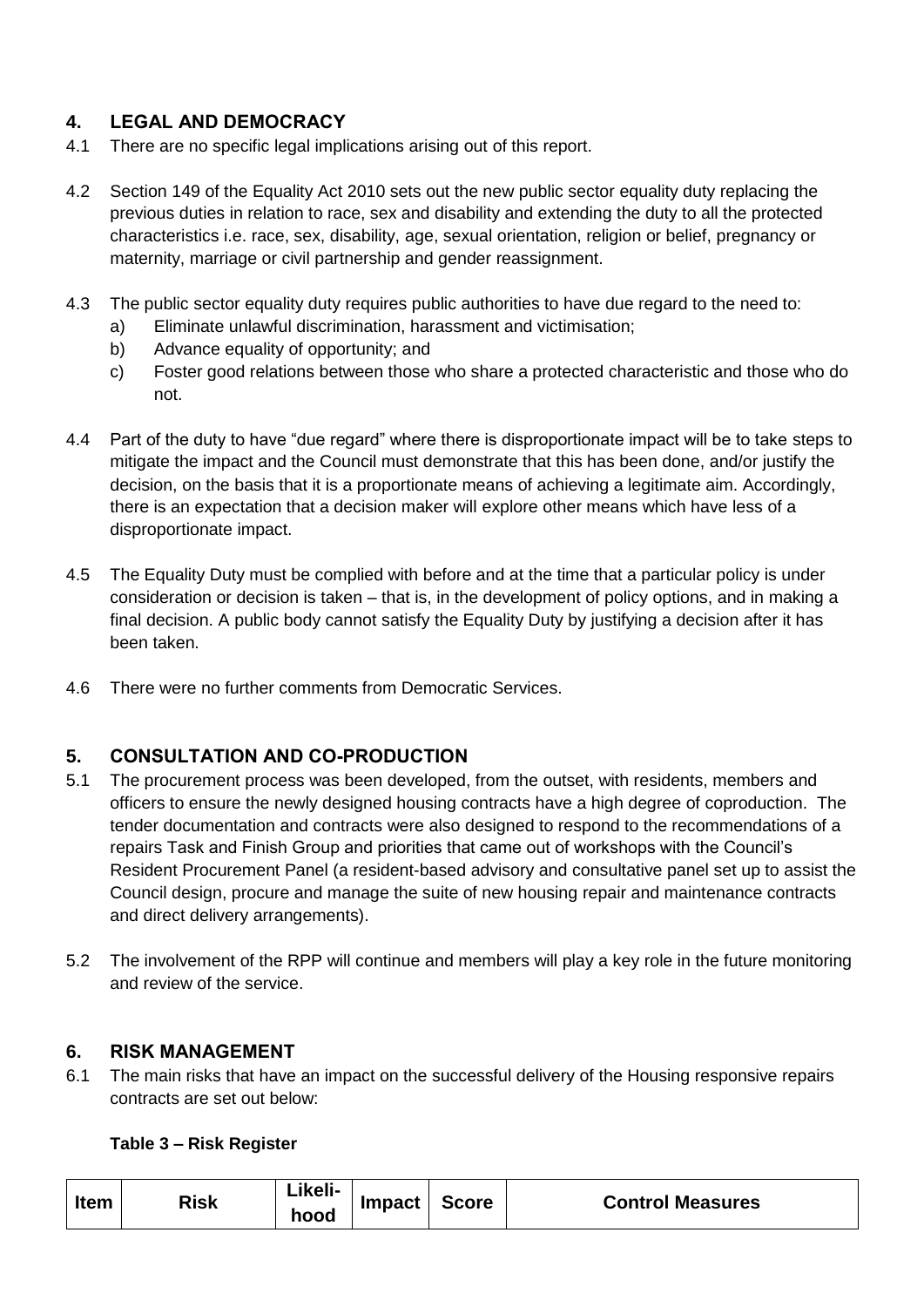# **4. LEGAL AND DEMOCRACY**

- 4.1 There are no specific legal implications arising out of this report.
- 4.2 Section 149 of the Equality Act 2010 sets out the new public sector equality duty replacing the previous duties in relation to race, sex and disability and extending the duty to all the protected characteristics i.e. race, sex, disability, age, sexual orientation, religion or belief, pregnancy or maternity, marriage or civil partnership and gender reassignment.
- 4.3 The public sector equality duty requires public authorities to have due regard to the need to:
	- a) Eliminate unlawful discrimination, harassment and victimisation;
	- b) Advance equality of opportunity; and
	- c) Foster good relations between those who share a protected characteristic and those who do not.
- 4.4 Part of the duty to have "due regard" where there is disproportionate impact will be to take steps to mitigate the impact and the Council must demonstrate that this has been done, and/or justify the decision, on the basis that it is a proportionate means of achieving a legitimate aim. Accordingly, there is an expectation that a decision maker will explore other means which have less of a disproportionate impact.
- 4.5 The Equality Duty must be complied with before and at the time that a particular policy is under consideration or decision is taken – that is, in the development of policy options, and in making a final decision. A public body cannot satisfy the Equality Duty by justifying a decision after it has been taken.
- 4.6 There were no further comments from Democratic Services.

# **5. CONSULTATION AND CO-PRODUCTION**

- 5.1 The procurement process was been developed, from the outset, with residents, members and officers to ensure the newly designed housing contracts have a high degree of coproduction. The tender documentation and contracts were also designed to respond to the recommendations of a repairs Task and Finish Group and priorities that came out of workshops with the Council's Resident Procurement Panel (a resident-based advisory and consultative panel set up to assist the Council design, procure and manage the suite of new housing repair and maintenance contracts and direct delivery arrangements).
- 5.2 The involvement of the RPP will continue and members will play a key role in the future monitoring and review of the service.

# **6. RISK MANAGEMENT**

6.1 The main risks that have an impact on the successful delivery of the Housing responsive repairs contracts are set out below:

# **Table 3 – Risk Register**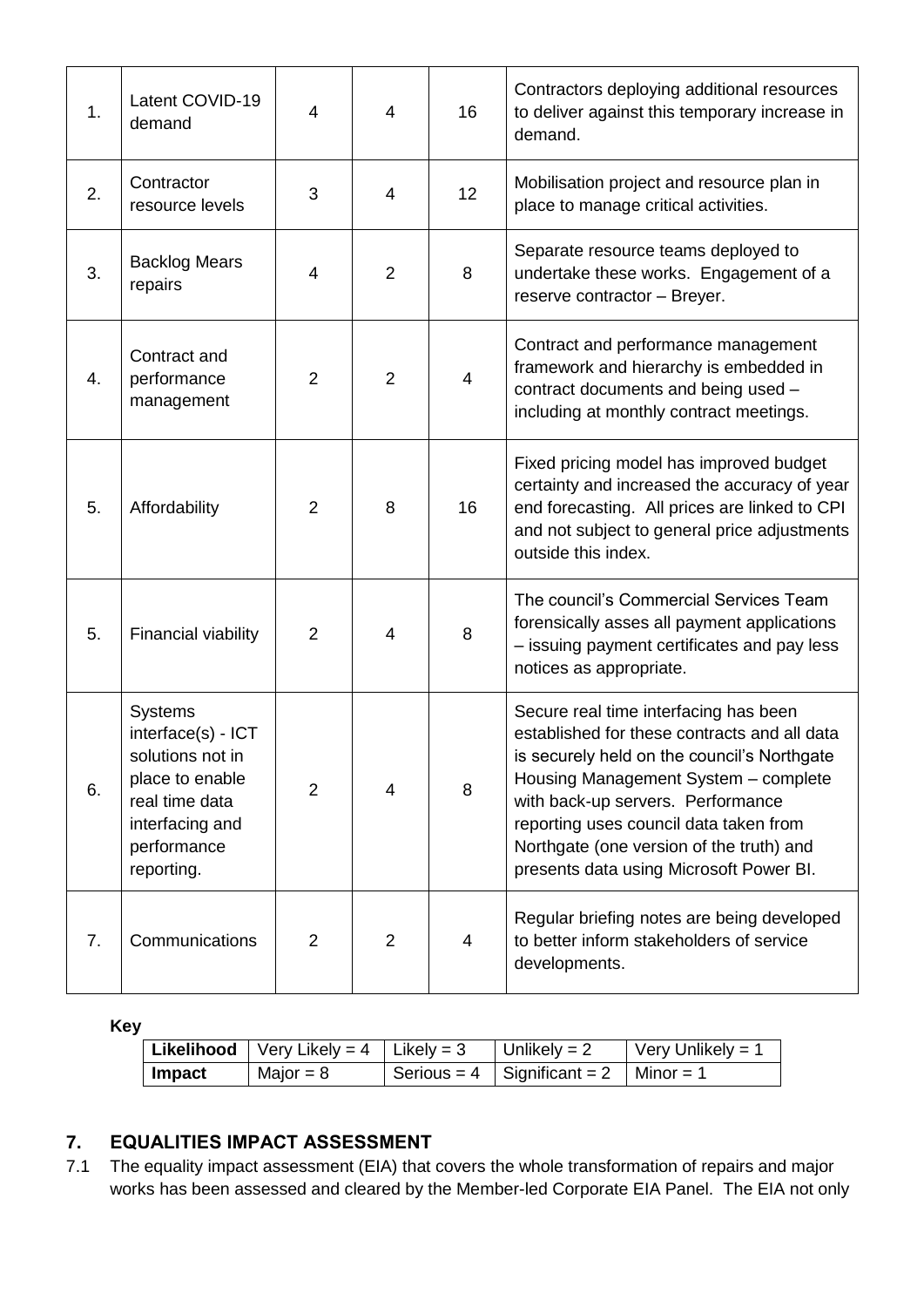| 1. | Latent COVID-19<br>demand                                                                                                                     | $\overline{4}$ | 4              | 16 | Contractors deploying additional resources<br>to deliver against this temporary increase in<br>demand.                                                                                                                                                                                                                                             |
|----|-----------------------------------------------------------------------------------------------------------------------------------------------|----------------|----------------|----|----------------------------------------------------------------------------------------------------------------------------------------------------------------------------------------------------------------------------------------------------------------------------------------------------------------------------------------------------|
| 2. | Contractor<br>resource levels                                                                                                                 | 3              | 4              | 12 | Mobilisation project and resource plan in<br>place to manage critical activities.                                                                                                                                                                                                                                                                  |
| 3. | <b>Backlog Mears</b><br>repairs                                                                                                               | $\overline{4}$ | $\overline{2}$ | 8  | Separate resource teams deployed to<br>undertake these works. Engagement of a<br>reserve contractor - Breyer.                                                                                                                                                                                                                                      |
| 4. | Contract and<br>performance<br>management                                                                                                     | $\overline{2}$ | 2              | 4  | Contract and performance management<br>framework and hierarchy is embedded in<br>contract documents and being used -<br>including at monthly contract meetings.                                                                                                                                                                                    |
| 5. | Affordability                                                                                                                                 | $\overline{2}$ | 8              | 16 | Fixed pricing model has improved budget<br>certainty and increased the accuracy of year<br>end forecasting. All prices are linked to CPI<br>and not subject to general price adjustments<br>outside this index.                                                                                                                                    |
| 5. | <b>Financial viability</b>                                                                                                                    | $\overline{2}$ | 4              | 8  | The council's Commercial Services Team<br>forensically asses all payment applications<br>- issuing payment certificates and pay less<br>notices as appropriate.                                                                                                                                                                                    |
| 6. | <b>Systems</b><br>interface(s) - ICT<br>solutions not in<br>place to enable<br>real time data<br>interfacing and<br>performance<br>reporting. | $\overline{2}$ | 4              | 8  | Secure real time interfacing has been<br>established for these contracts and all data<br>is securely held on the council's Northgate<br>Housing Management System - complete<br>with back-up servers. Performance<br>reporting uses council data taken from<br>Northgate (one version of the truth) and<br>presents data using Microsoft Power BI. |
| 7. | Communications                                                                                                                                | $\overline{2}$ | 2              | 4  | Regular briefing notes are being developed<br>to better inform stakeholders of service<br>developments.                                                                                                                                                                                                                                            |

**Key**

|        | Likelihood   Very Likely = $4$   Likely = 3 | Unlikely = $2$                     | $\sqrt{\frac{1}{1}}$ Very Unlikely = 1 |
|--------|---------------------------------------------|------------------------------------|----------------------------------------|
| Impact | Major = $8$                                 | Serious = $4 \mid$ Significant = 2 | $\blacksquare$ Minor = 1               |

# **7. EQUALITIES IMPACT ASSESSMENT**

7.1 The equality impact assessment (EIA) that covers the whole transformation of repairs and major works has been assessed and cleared by the Member-led Corporate EIA Panel. The EIA not only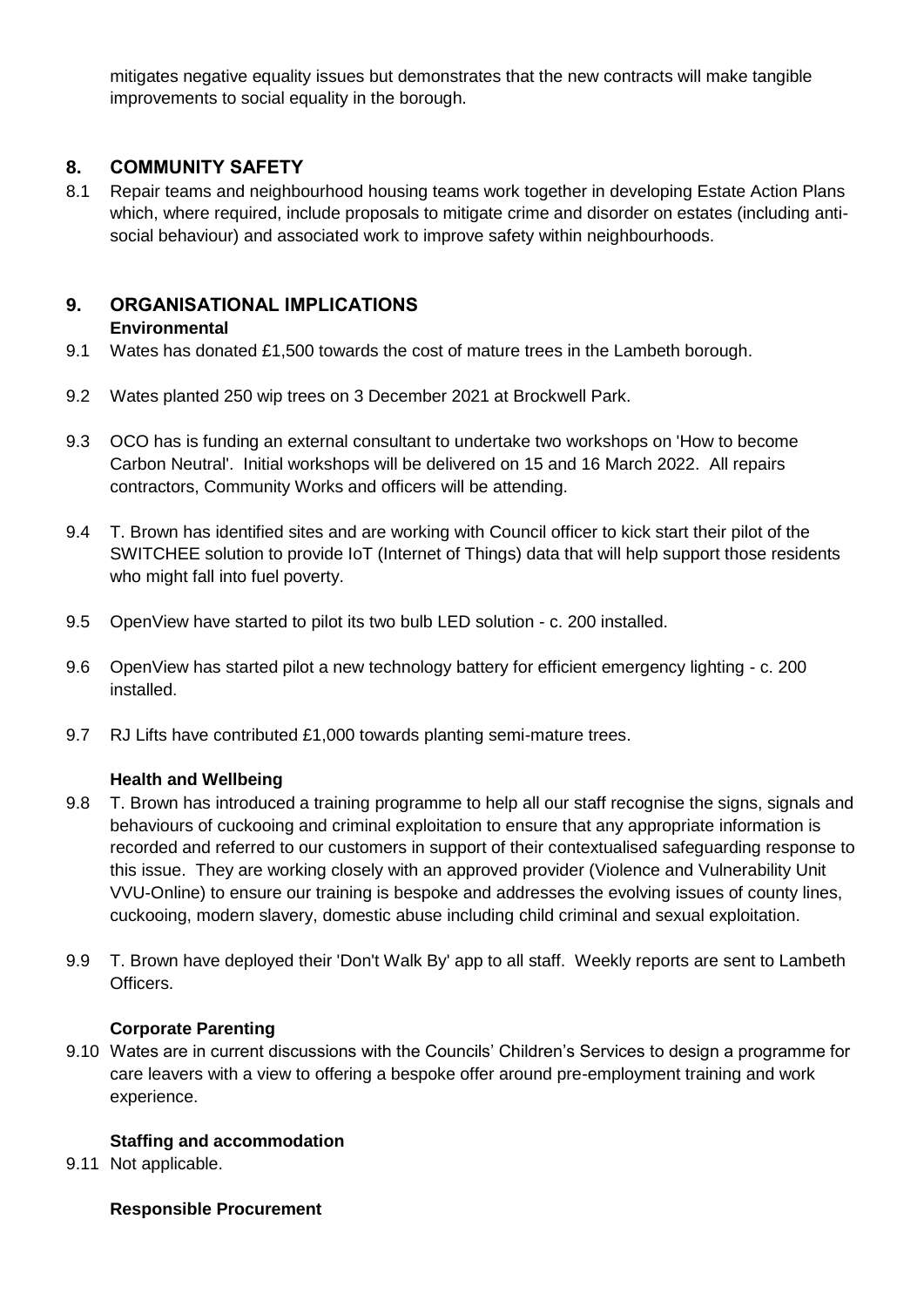mitigates negative equality issues but demonstrates that the new contracts will make tangible improvements to social equality in the borough.

# **8. COMMUNITY SAFETY**

8.1 Repair teams and neighbourhood housing teams work together in developing Estate Action Plans which, where required, include proposals to mitigate crime and disorder on estates (including antisocial behaviour) and associated work to improve safety within neighbourhoods.

# **9. ORGANISATIONAL IMPLICATIONS**

# **Environmental**

- 9.1 Wates has donated £1,500 towards the cost of mature trees in the Lambeth borough.
- 9.2 Wates planted 250 wip trees on 3 December 2021 at Brockwell Park.
- 9.3 OCO has is funding an external consultant to undertake two workshops on 'How to become Carbon Neutral'. Initial workshops will be delivered on 15 and 16 March 2022. All repairs contractors, Community Works and officers will be attending.
- 9.4 T. Brown has identified sites and are working with Council officer to kick start their pilot of the SWITCHEE solution to provide IoT (Internet of Things) data that will help support those residents who might fall into fuel poverty.
- 9.5 OpenView have started to pilot its two bulb LED solution c. 200 installed.
- 9.6 OpenView has started pilot a new technology battery for efficient emergency lighting c. 200 installed.
- 9.7 RJ Lifts have contributed £1,000 towards planting semi-mature trees.

# **Health and Wellbeing**

- 9.8 T. Brown has introduced a training programme to help all our staff recognise the signs, signals and behaviours of cuckooing and criminal exploitation to ensure that any appropriate information is recorded and referred to our customers in support of their contextualised safeguarding response to this issue. They are working closely with an approved provider (Violence and Vulnerability Unit VVU-Online) to ensure our training is bespoke and addresses the evolving issues of county lines, cuckooing, modern slavery, domestic abuse including child criminal and sexual exploitation.
- 9.9 T. Brown have deployed their 'Don't Walk By' app to all staff. Weekly reports are sent to Lambeth Officers.

# **Corporate Parenting**

9.10 Wates are in current discussions with the Councils' Children's Services to design a programme for care leavers with a view to offering a bespoke offer around pre-employment training and work experience.

# **Staffing and accommodation**

9.11 Not applicable.

# **Responsible Procurement**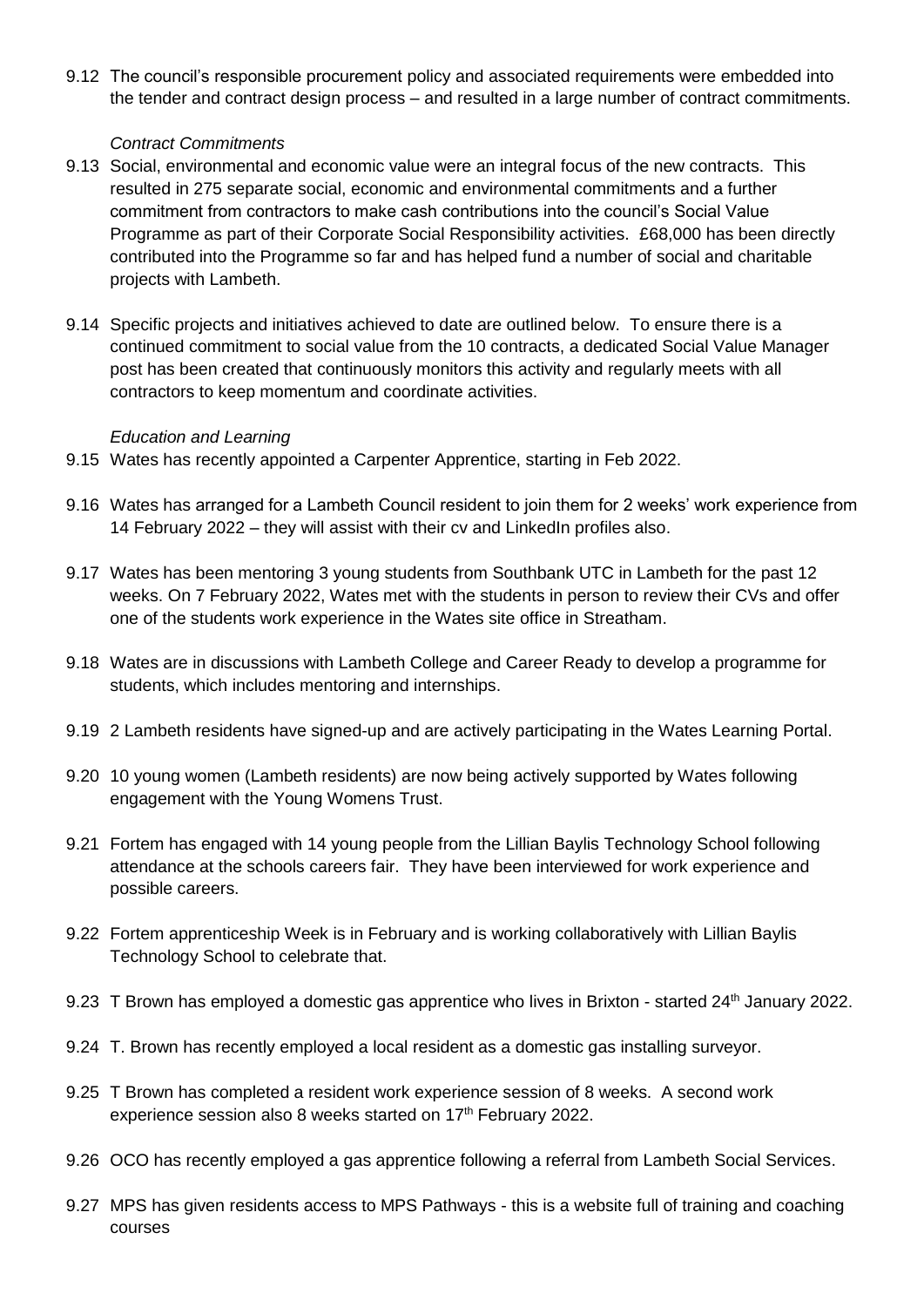9.12 The council's responsible procurement policy and associated requirements were embedded into the tender and contract design process – and resulted in a large number of contract commitments.

#### *Contract Commitments*

- 9.13 Social, environmental and economic value were an integral focus of the new contracts. This resulted in 275 separate social, economic and environmental commitments and a further commitment from contractors to make cash contributions into the council's Social Value Programme as part of their Corporate Social Responsibility activities. £68,000 has been directly contributed into the Programme so far and has helped fund a number of social and charitable projects with Lambeth.
- 9.14 Specific projects and initiatives achieved to date are outlined below. To ensure there is a continued commitment to social value from the 10 contracts, a dedicated Social Value Manager post has been created that continuously monitors this activity and regularly meets with all contractors to keep momentum and coordinate activities.

#### *Education and Learning*

- 9.15 Wates has recently appointed a Carpenter Apprentice, starting in Feb 2022.
- 9.16 Wates has arranged for a Lambeth Council resident to join them for 2 weeks' work experience from 14 February 2022 – they will assist with their cv and LinkedIn profiles also.
- 9.17 Wates has been mentoring 3 young students from Southbank UTC in Lambeth for the past 12 weeks. On 7 February 2022, Wates met with the students in person to review their CVs and offer one of the students work experience in the Wates site office in Streatham.
- 9.18 Wates are in discussions with Lambeth College and Career Ready to develop a programme for students, which includes mentoring and internships.
- 9.19 2 Lambeth residents have signed-up and are actively participating in the Wates Learning Portal.
- 9.20 10 young women (Lambeth residents) are now being actively supported by Wates following engagement with the Young Womens Trust.
- 9.21 Fortem has engaged with 14 young people from the Lillian Baylis Technology School following attendance at the schools careers fair. They have been interviewed for work experience and possible careers.
- 9.22 Fortem apprenticeship Week is in February and is working collaboratively with Lillian Baylis Technology School to celebrate that.
- 9.23 T Brown has employed a domestic gas apprentice who lives in Brixton started 24<sup>th</sup> January 2022.
- 9.24 T. Brown has recently employed a local resident as a domestic gas installing surveyor.
- 9.25 T Brown has completed a resident work experience session of 8 weeks. A second work experience session also 8 weeks started on 17<sup>th</sup> February 2022.
- 9.26 OCO has recently employed a gas apprentice following a referral from Lambeth Social Services.
- 9.27 MPS has given residents access to MPS Pathways this is a website full of training and coaching courses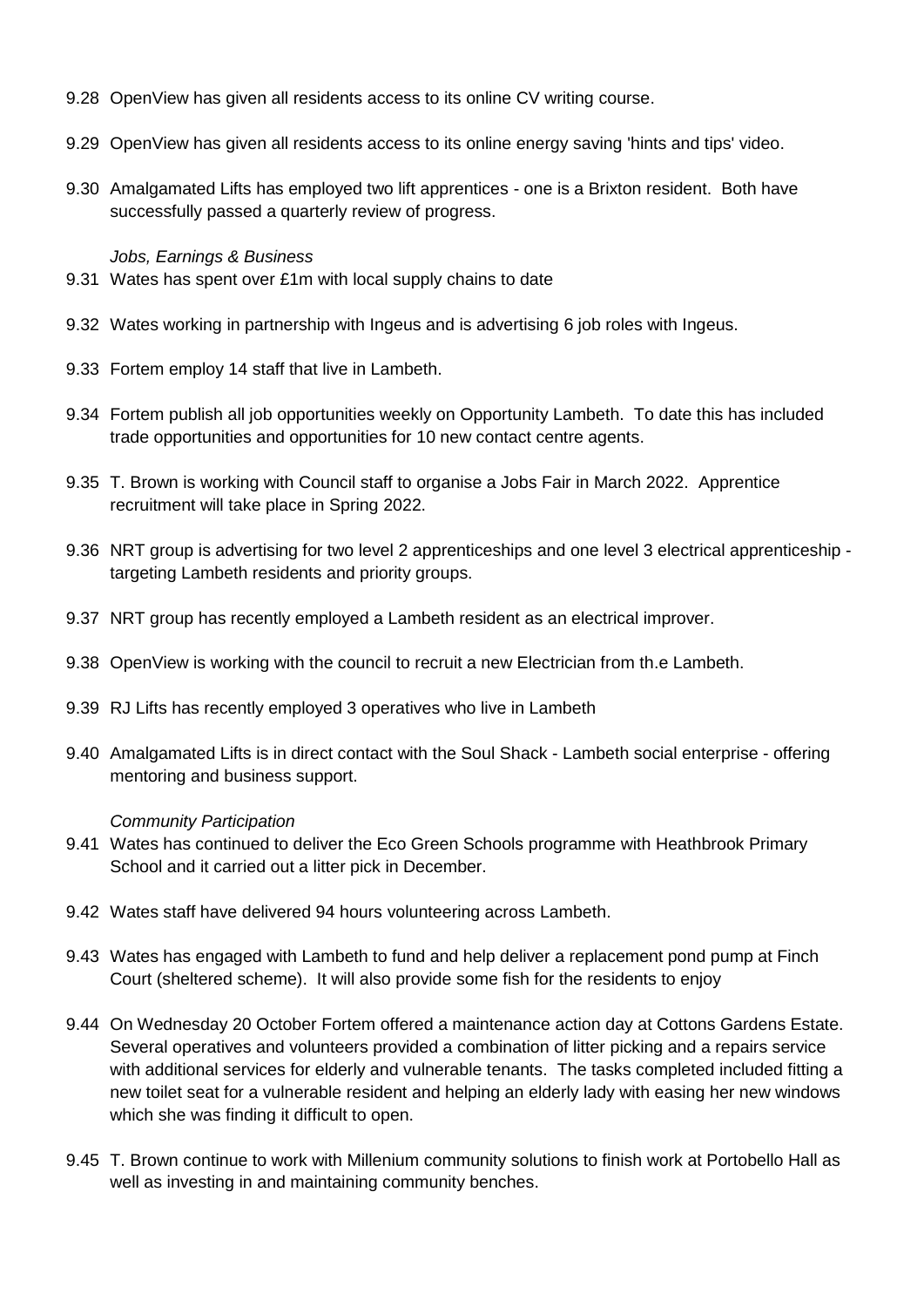- 9.28 Open View has given all residents access to its online CV writing course.
- 9.29 OpenView has given all residents access to its online energy saving 'hints and tips' video.
- 9.30 Amalgamated Lifts has employed two lift apprentices one is a Brixton resident. Both have successfully passed a quarterly review of progress.

#### *Jobs, Earnings & Business*

- 9.31 Wates has spent over £1m with local supply chains to date
- 9.32 Wates working in partnership with Ingeus and is advertising 6 job roles with Ingeus.
- 9.33 Fortem employ 14 staff that live in Lambeth.
- 9.34 Fortem publish all job opportunities weekly on Opportunity Lambeth. To date this has included trade opportunities and opportunities for 10 new contact centre agents.
- 9.35 T. Brown is working with Council staff to organise a Jobs Fair in March 2022. Apprentice recruitment will take place in Spring 2022.
- 9.36 NRT group is advertising for two level 2 apprenticeships and one level 3 electrical apprenticeship targeting Lambeth residents and priority groups.
- 9.37 NRT group has recently employed a Lambeth resident as an electrical improver.
- 9.38 OpenView is working with the council to recruit a new Electrician from th.e Lambeth.
- 9.39 RJ Lifts has recently employed 3 operatives who live in Lambeth
- 9.40 Amalgamated Lifts is in direct contact with the Soul Shack Lambeth social enterprise offering mentoring and business support.

#### *Community Participation*

- 9.41 Wates has continued to deliver the Eco Green Schools programme with Heathbrook Primary School and it carried out a litter pick in December.
- 9.42 Wates staff have delivered 94 hours volunteering across Lambeth.
- 9.43 Wates has engaged with Lambeth to fund and help deliver a replacement pond pump at Finch Court (sheltered scheme). It will also provide some fish for the residents to enjoy
- 9.44 On Wednesday 20 October Fortem offered a maintenance action day at Cottons Gardens Estate. Several operatives and volunteers provided a combination of litter picking and a repairs service with additional services for elderly and vulnerable tenants. The tasks completed included fitting a new toilet seat for a vulnerable resident and helping an elderly lady with easing her new windows which she was finding it difficult to open.
- 9.45 T. Brown continue to work with Millenium community solutions to finish work at Portobello Hall as well as investing in and maintaining community benches.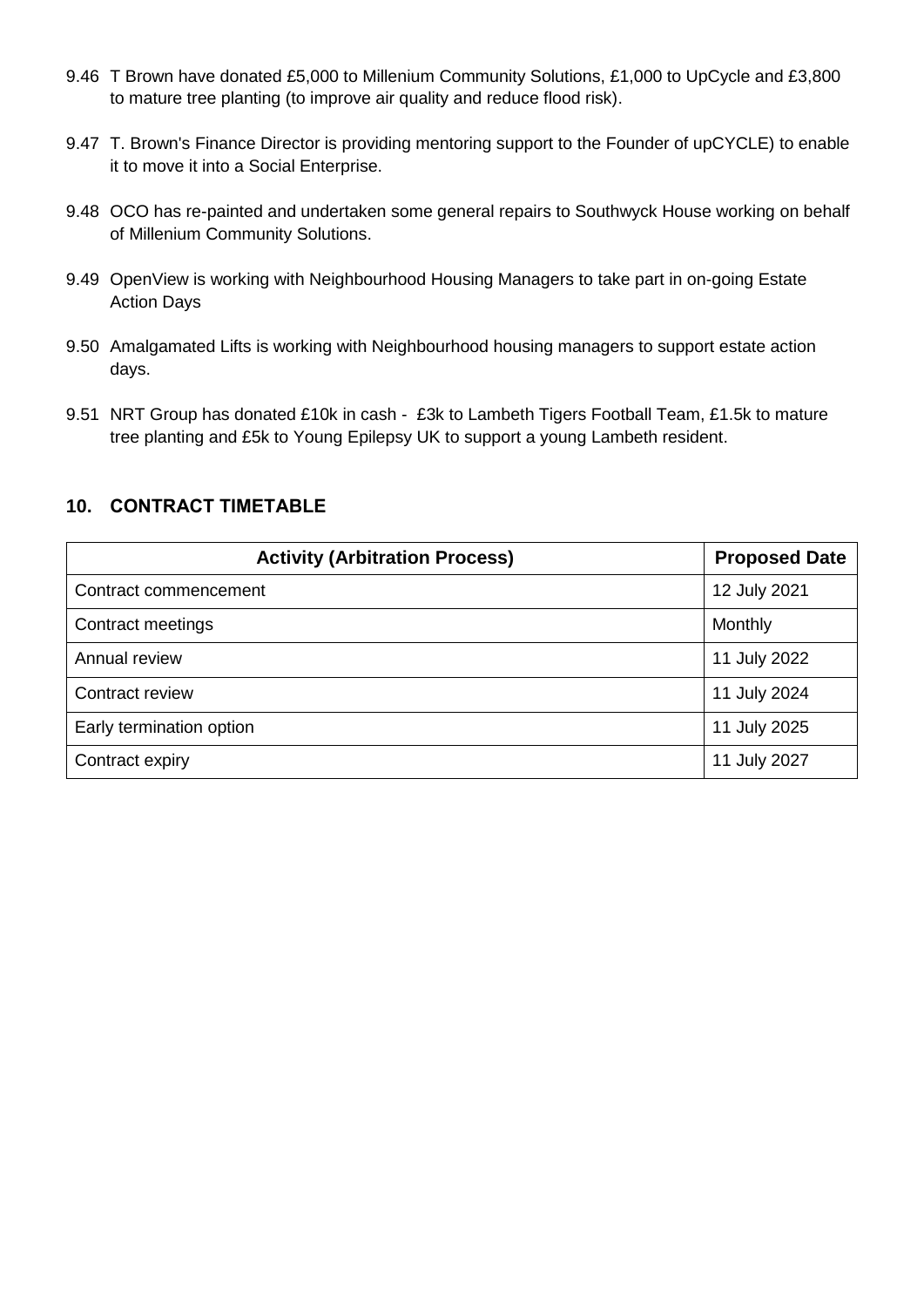- 9.46 T Brown have donated £5,000 to Millenium Community Solutions, £1,000 to UpCycle and £3,800 to mature tree planting (to improve air quality and reduce flood risk).
- 9.47 T. Brown's Finance Director is providing mentoring support to the Founder of upCYCLE) to enable it to move it into a Social Enterprise.
- 9.48 OCO has re-painted and undertaken some general repairs to Southwyck House working on behalf of Millenium Community Solutions.
- 9.49 OpenView is working with Neighbourhood Housing Managers to take part in on-going Estate Action Days
- 9.50 Amalgamated Lifts is working with Neighbourhood housing managers to support estate action days.
- 9.51 NRT Group has donated £10k in cash £3k to Lambeth Tigers Football Team, £1.5k to mature tree planting and £5k to Young Epilepsy UK to support a young Lambeth resident.

# **10. CONTRACT TIMETABLE**

| <b>Activity (Arbitration Process)</b> | <b>Proposed Date</b> |
|---------------------------------------|----------------------|
| Contract commencement                 | 12 July 2021         |
| Contract meetings                     | Monthly              |
| Annual review                         | 11 July 2022         |
| Contract review                       | 11 July 2024         |
| Early termination option              | 11 July 2025         |
| Contract expiry                       | 11 July 2027         |